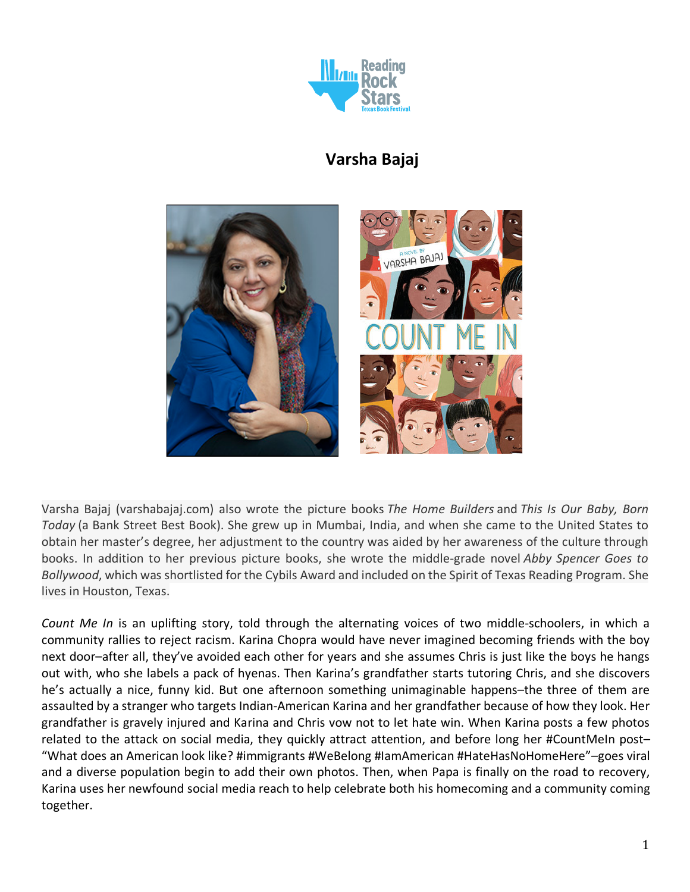

# **Varsha Bajaj**



Varsha Bajaj (varshabajaj.com) also wrote the picture books *The Home Builders* and *This Is Our Baby, Born Today* (a Bank Street Best Book). She grew up in Mumbai, India, and when she came to the United States to obtain her master's degree, her adjustment to the country was aided by her awareness of the culture through books. In addition to her previous picture books, she wrote the middle-grade novel *Abby Spencer Goes to Bollywood*, which was shortlisted for the Cybils Award and included on the Spirit of Texas Reading Program. She lives in Houston, Texas.

*Count Me In* is an uplifting story, told through the alternating voices of two middle-schoolers, in which a community rallies to reject racism. Karina Chopra would have never imagined becoming friends with the boy next door–after all, they've avoided each other for years and she assumes Chris is just like the boys he hangs out with, who she labels a pack of hyenas. Then Karina's grandfather starts tutoring Chris, and she discovers he's actually a nice, funny kid. But one afternoon something unimaginable happens–the three of them are assaulted by a stranger who targets Indian-American Karina and her grandfather because of how they look. Her grandfather is gravely injured and Karina and Chris vow not to let hate win. When Karina posts a few photos related to the attack on social media, they quickly attract attention, and before long her #CountMeIn post– "What does an American look like? #immigrants #WeBelong #IamAmerican #HateHasNoHomeHere"–goes viral and a diverse population begin to add their own photos. Then, when Papa is finally on the road to recovery, Karina uses her newfound social media reach to help celebrate both his homecoming and a community coming together.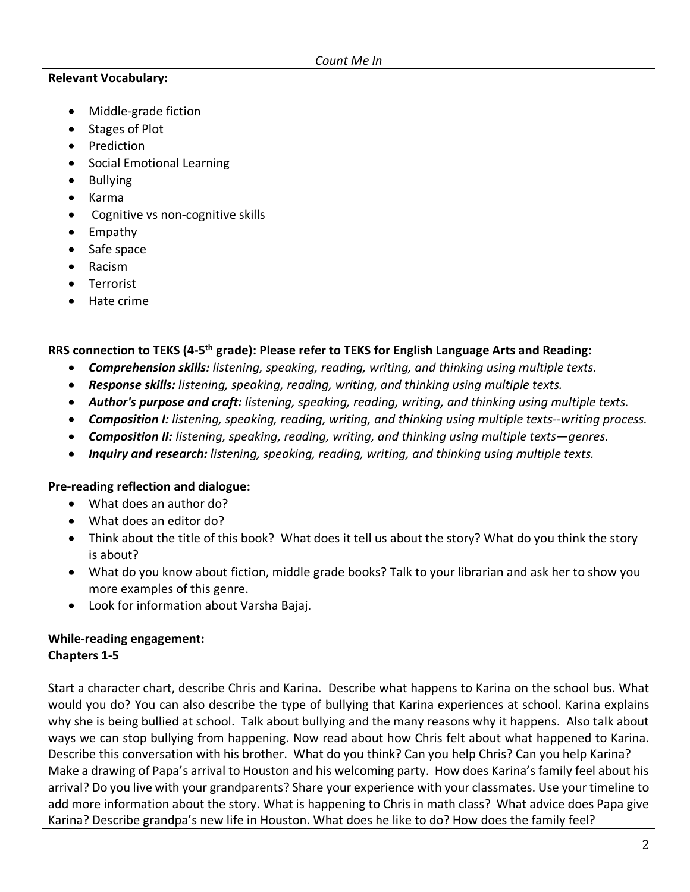#### *Count Me In*

#### **Relevant Vocabulary:**

- Middle-grade fiction
- Stages of Plot
- Prediction
- Social Emotional Learning
- Bullying
- Karma
- Cognitive vs non-cognitive skills
- Empathy
- Safe space
- Racism
- Terrorist
- Hate crime

# **RRS connection to TEKS (4-5th grade): Please refer to TEKS for English Language Arts and Reading:**

- *Comprehension skills: listening, speaking, reading, writing, and thinking using multiple texts.*
- *Response skills: listening, speaking, reading, writing, and thinking using multiple texts.*
- *Author's purpose and craft: listening, speaking, reading, writing, and thinking using multiple texts.*
- *Composition I: listening, speaking, reading, writing, and thinking using multiple texts--writing process.*
- *Composition II: listening, speaking, reading, writing, and thinking using multiple texts—genres.*
- *Inquiry and research: listening, speaking, reading, writing, and thinking using multiple texts.*

## **Pre-reading reflection and dialogue:**

- What does an author do?
- What does an editor do?
- Think about the title of this book? What does it tell us about the story? What do you think the story is about?
- What do you know about fiction, middle grade books? Talk to your librarian and ask her to show you more examples of this genre.
- Look for information about Varsha Bajaj.

## **While-reading engagement: Chapters 1-5**

Start a character chart, describe Chris and Karina. Describe what happens to Karina on the school bus. What would you do? You can also describe the type of bullying that Karina experiences at school. Karina explains why she is being bullied at school. Talk about bullying and the many reasons why it happens. Also talk about ways we can stop bullying from happening. Now read about how Chris felt about what happened to Karina. Describe this conversation with his brother. What do you think? Can you help Chris? Can you help Karina? Make a drawing of Papa's arrival to Houston and his welcoming party. How does Karina's family feel about his arrival? Do you live with your grandparents? Share your experience with your classmates. Use your timeline to add more information about the story. What is happening to Chris in math class? What advice does Papa give Karina? Describe grandpa's new life in Houston. What does he like to do? How does the family feel?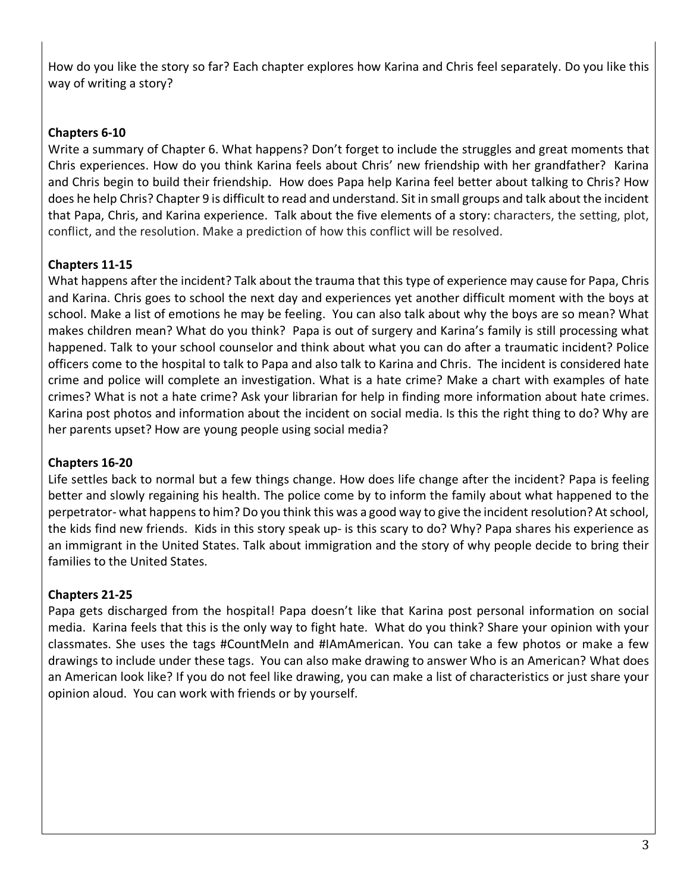How do you like the story so far? Each chapter explores how Karina and Chris feel separately. Do you like this way of writing a story?

# **Chapters 6-10**

Write a summary of Chapter 6. What happens? Don't forget to include the struggles and great moments that Chris experiences. How do you think Karina feels about Chris' new friendship with her grandfather? Karina and Chris begin to build their friendship. How does Papa help Karina feel better about talking to Chris? How does he help Chris? Chapter 9 is difficult to read and understand. Sit in small groups and talk about the incident that Papa, Chris, and Karina experience. Talk about the five elements of a story: characters, the setting, plot, conflict, and the resolution. Make a prediction of how this conflict will be resolved.

# **Chapters 11-15**

What happens after the incident? Talk about the trauma that this type of experience may cause for Papa, Chris and Karina. Chris goes to school the next day and experiences yet another difficult moment with the boys at school. Make a list of emotions he may be feeling. You can also talk about why the boys are so mean? What makes children mean? What do you think? Papa is out of surgery and Karina's family is still processing what happened. Talk to your school counselor and think about what you can do after a traumatic incident? Police officers come to the hospital to talk to Papa and also talk to Karina and Chris. The incident is considered hate crime and police will complete an investigation. What is a hate crime? Make a chart with examples of hate crimes? What is not a hate crime? Ask your librarian for help in finding more information about hate crimes. Karina post photos and information about the incident on social media. Is this the right thing to do? Why are her parents upset? How are young people using social media?

# **Chapters 16-20**

Life settles back to normal but a few things change. How does life change after the incident? Papa is feeling better and slowly regaining his health. The police come by to inform the family about what happened to the perpetrator- what happens to him? Do you think this was a good way to give the incident resolution? At school, the kids find new friends. Kids in this story speak up- is this scary to do? Why? Papa shares his experience as an immigrant in the United States. Talk about immigration and the story of why people decide to bring their families to the United States.

# **Chapters 21-25**

Papa gets discharged from the hospital! Papa doesn't like that Karina post personal information on social media. Karina feels that this is the only way to fight hate. What do you think? Share your opinion with your classmates. She uses the tags #CountMeIn and #IAmAmerican. You can take a few photos or make a few drawings to include under these tags. You can also make drawing to answer Who is an American? What does an American look like? If you do not feel like drawing, you can make a list of characteristics or just share your opinion aloud. You can work with friends or by yourself.